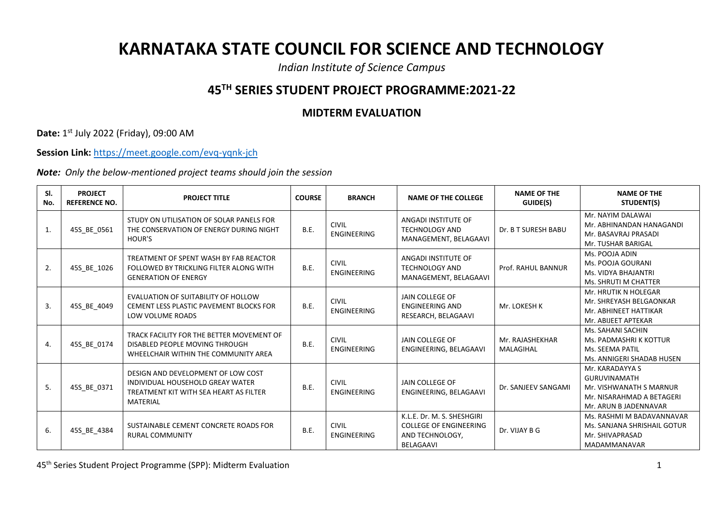## **KARNATAKA STATE COUNCIL FOR SCIENCE AND TECHNOLOGY**

*Indian Institute of Science Campus*

## **45TH SERIES STUDENT PROJECT PROGRAMME:2021-22**

## **MIDTERM EVALUATION**

**Date:** 1 st July 2022 (Friday), 09:00 AM

**Session Link:** <https://meet.google.com/evq-yqnk-jch>

*Note: Only the below-mentioned project teams should join the session*

| SI.<br>No.       | <b>PROJECT</b><br><b>REFERENCE NO.</b> | <b>PROJECT TITLE</b>                                                                                                                | <b>COURSE</b> | <b>BRANCH</b>                      | <b>NAME OF THE COLLEGE</b>                                                                  | <b>NAME OF THE</b><br>GUIDE(S) | <b>NAME OF THE</b><br>STUDENT(S)                                                                                        |
|------------------|----------------------------------------|-------------------------------------------------------------------------------------------------------------------------------------|---------------|------------------------------------|---------------------------------------------------------------------------------------------|--------------------------------|-------------------------------------------------------------------------------------------------------------------------|
| $\mathbf{1}$     | 45S_BE_0561                            | STUDY ON UTILISATION OF SOLAR PANELS FOR<br>THE CONSERVATION OF ENERGY DURING NIGHT<br><b>HOUR'S</b>                                | <b>B.E.</b>   | <b>CIVIL</b><br><b>ENGINEERING</b> | ANGADI INSTITUTE OF<br><b>TECHNOLOGY AND</b><br>MANAGEMENT, BELAGAAVI                       | Dr. B T SURESH BABU            | Mr. NAYIM DALAWAI<br>Mr. ABHINANDAN HANAGANDI<br>Mr. BASAVRAJ PRASADI<br>Mr. TUSHAR BARIGAL                             |
| 2.               | 45S BE 1026                            | TREATMENT OF SPENT WASH BY FAB REACTOR<br>FOLLOWED BY TRICKLING FILTER ALONG WITH<br><b>GENERATION OF ENERGY</b>                    | <b>B.E.</b>   | <b>CIVIL</b><br><b>ENGINEERING</b> | ANGADI INSTITUTE OF<br><b>TECHNOLOGY AND</b><br>MANAGEMENT, BELAGAAVI                       | Prof. RAHUL BANNUR             | Ms. POOJA ADIN<br>Ms. POOJA GOURANI<br>Ms. VIDYA BHAJANTRI<br>Ms. SHRUTI M CHATTER                                      |
| $\overline{3}$ . | 45S BE 4049                            | EVALUATION OF SUITABILITY OF HOLLOW<br>CEMENT LESS PLASTIC PAVEMENT BLOCKS FOR<br>LOW VOLUME ROADS                                  | <b>B.E.</b>   | <b>CIVIL</b><br><b>ENGINEERING</b> | JAIN COLLEGE OF<br><b>ENGINEERING AND</b><br>RESEARCH, BELAGAAVI                            | Mr. LOKESH K                   | Mr. HRUTIK N HOLEGAR<br>Mr. SHREYASH BELGAONKAR<br>Mr. ABHINEET HATTIKAR<br>Mr. ABIJEET APTEKAR                         |
| $\overline{4}$ . | 45S_BE_0174                            | TRACK FACILITY FOR THE BETTER MOVEMENT OF<br>DISABLED PEOPLE MOVING THROUGH<br>WHEELCHAIR WITHIN THE COMMUNITY AREA                 | B.E.          | <b>CIVIL</b><br><b>ENGINEERING</b> | JAIN COLLEGE OF<br>ENGINEERING, BELAGAAVI                                                   | Mr. RAJASHEKHAR<br>MALAGIHAL   | Ms. SAHANI SACHIN<br>Ms. PADMASHRI K KOTTUR<br>Ms. SEEMA PATIL<br>Ms. ANNIGERI SHADAB HUSEN                             |
| 5.               | 45S BE 0371                            | DESIGN AND DEVELOPMENT OF LOW COST<br>INDIVIDUAL HOUSEHOLD GREAY WATER<br>TREATMENT KIT WITH SEA HEART AS FILTER<br><b>MATERIAL</b> | <b>B.E.</b>   | <b>CIVIL</b><br><b>ENGINEERING</b> | JAIN COLLEGE OF<br>ENGINEERING, BELAGAAVI                                                   | Dr. SANJEEV SANGAMI            | Mr. KARADAYYA S<br><b>GURUVINAMATH</b><br>Mr. VISHWANATH S MARNUR<br>Mr. NISARAHMAD A BETAGERI<br>Mr. ARUN B JADENNAVAR |
| 6.               | 45S_BE_4384                            | SUSTAINABLE CEMENT CONCRETE ROADS FOR<br><b>RURAL COMMUNITY</b>                                                                     | <b>B.E.</b>   | <b>CIVIL</b><br><b>ENGINEERING</b> | K.L.E. Dr. M. S. SHESHGIRI<br><b>COLLEGE OF ENGINEERING</b><br>AND TECHNOLOGY.<br>BELAGAAVI | Dr. VIJAY B G                  | Ms. RASHMI M BADAVANNAVAR<br>Ms. SANJANA SHRISHAIL GOTUR<br>Mr. SHIVAPRASAD<br>MADAMMANAVAR                             |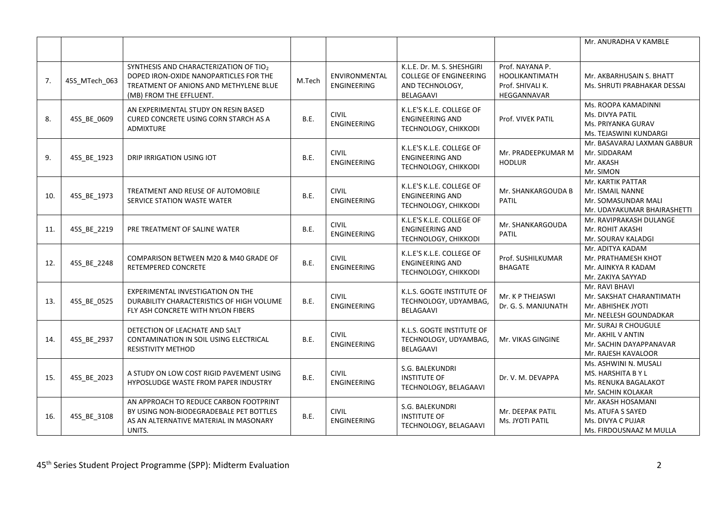|     |               |                                                                                                                                                       |        |                                     |                                                                                             |                                                                             | Mr. ANURADHA V KAMBLE                                                                       |
|-----|---------------|-------------------------------------------------------------------------------------------------------------------------------------------------------|--------|-------------------------------------|---------------------------------------------------------------------------------------------|-----------------------------------------------------------------------------|---------------------------------------------------------------------------------------------|
| 7.  | 45S_MTech_063 | SYNTHESIS AND CHARACTERIZATION OF TIO2<br>DOPED IRON-OXIDE NANOPARTICLES FOR THE<br>TREATMENT OF ANIONS AND METHYLENE BLUE<br>(MB) FROM THE EFFLUENT. | M.Tech | ENVIRONMENTAL<br><b>ENGINEERING</b> | K.L.E. Dr. M. S. SHESHGIRI<br><b>COLLEGE OF ENGINEERING</b><br>AND TECHNOLOGY,<br>BELAGAAVI | Prof. NAYANA P.<br><b>HOOLIKANTIMATH</b><br>Prof. SHIVALI K.<br>HEGGANNAVAR | Mr. AKBARHUSAIN S. BHATT<br>Ms. SHRUTI PRABHAKAR DESSAI                                     |
| 8.  | 45S_BE_0609   | AN EXPERIMENTAL STUDY ON RESIN BASED<br>CURED CONCRETE USING CORN STARCH AS A<br><b>ADMIXTURE</b>                                                     | B.E.   | <b>CIVIL</b><br>ENGINEERING         | K.L.E'S K.L.E. COLLEGE OF<br><b>ENGINEERING AND</b><br>TECHNOLOGY, CHIKKODI                 | Prof. VIVEK PATIL                                                           | Ms. ROOPA KAMADINNI<br>Ms. DIVYA PATIL<br>Ms. PRIYANKA GURAV<br>Ms. TEJASWINI KUNDARGI      |
| 9.  | 45S_BE_1923   | DRIP IRRIGATION USING IOT                                                                                                                             | B.E.   | <b>CIVIL</b><br><b>ENGINEERING</b>  | K.L.E'S K.L.E. COLLEGE OF<br><b>ENGINEERING AND</b><br>TECHNOLOGY, CHIKKODI                 | Mr. PRADEEPKUMAR M<br><b>HODLUR</b>                                         | Mr. BASAVARAJ LAXMAN GABBUR<br>Mr. SIDDARAM<br>Mr. AKASH<br>Mr. SIMON                       |
| 10. | 45S_BE_1973   | TREATMENT AND REUSE OF AUTOMOBILE<br>SERVICE STATION WASTE WATER                                                                                      | B.E.   | <b>CIVIL</b><br><b>ENGINEERING</b>  | K.L.E'S K.L.E. COLLEGE OF<br><b>ENGINEERING AND</b><br>TECHNOLOGY, CHIKKODI                 | Mr. SHANKARGOUDA B<br><b>PATIL</b>                                          | Mr. KARTIK PATTAR<br>Mr. ISMAIL NANNE<br>Mr. SOMASUNDAR MALI<br>Mr. UDAYAKUMAR BHAIRASHETTI |
| 11. | 45S_BE_2219   | PRE TREATMENT OF SALINE WATER                                                                                                                         | B.E.   | <b>CIVIL</b><br><b>ENGINEERING</b>  | K.L.E'S K.L.E. COLLEGE OF<br><b>ENGINEERING AND</b><br>TECHNOLOGY, CHIKKODI                 | Mr. SHANKARGOUDA<br><b>PATIL</b>                                            | Mr. RAVIPRAKASH DULANGE<br>Mr. ROHIT AKASHI<br>Mr. SOURAV KALADGI                           |
| 12. | 45S_BE_2248   | COMPARISON BETWEEN M20 & M40 GRADE OF<br><b>RETEMPERED CONCRETE</b>                                                                                   | B.E.   | <b>CIVIL</b><br><b>ENGINEERING</b>  | K.L.E'S K.L.E. COLLEGE OF<br><b>ENGINEERING AND</b><br>TECHNOLOGY, CHIKKODI                 | Prof. SUSHILKUMAR<br><b>BHAGATE</b>                                         | Mr. ADITYA KADAM<br>Mr. PRATHAMESH KHOT<br>Mr. AJINKYA R KADAM<br>Mr. ZAKIYA SAYYAD         |
| 13. | 45S_BE_0525   | EXPERIMENTAL INVESTIGATION ON THE<br>DURABILITY CHARACTERISTICS OF HIGH VOLUME<br>FLY ASH CONCRETE WITH NYLON FIBERS                                  | B.E.   | <b>CIVIL</b><br><b>ENGINEERING</b>  | K.L.S. GOGTE INSTITUTE OF<br>TECHNOLOGY, UDYAMBAG,<br><b>BELAGAAVI</b>                      | Mr. K P THEJASWI<br>Dr. G. S. MANJUNATH                                     | Mr. RAVI BHAVI<br>Mr. SAKSHAT CHARANTIMATH<br>Mr. ABHISHEK JYOTI<br>Mr. NEELESH GOUNDADKAR  |
| 14. | 45S_BE_2937   | DETECTION OF LEACHATE AND SALT<br>CONTAMINATION IN SOIL USING ELECTRICAL<br><b>RESISTIVITY METHOD</b>                                                 | B.E.   | <b>CIVIL</b><br><b>ENGINEERING</b>  | K.L.S. GOGTE INSTITUTE OF<br>TECHNOLOGY, UDYAMBAG,<br><b>BELAGAAVI</b>                      | Mr. VIKAS GINGINE                                                           | Mr. SURAJ R CHOUGULE<br>Mr. AKHIL V ANTIN<br>Mr. SACHIN DAYAPPANAVAR<br>Mr. RAJESH KAVALOOR |
| 15. | 45S_BE_2023   | A STUDY ON LOW COST RIGID PAVEMENT USING<br>HYPOSLUDGE WASTE FROM PAPER INDUSTRY                                                                      | B.E.   | <b>CIVIL</b><br>ENGINEERING         | S.G. BALEKUNDRI<br><b>INSTITUTE OF</b><br>TECHNOLOGY, BELAGAAVI                             | Dr. V. M. DEVAPPA                                                           | Ms. ASHWINI N. MUSALI<br>MS. HARSHITA BY L<br>Ms. RENUKA BAGALAKOT<br>Mr. SACHIN KOLAKAR    |
| 16. | 45S BE 3108   | AN APPROACH TO REDUCE CARBON FOOTPRINT<br>BY USING NON-BIODEGRADEBALE PET BOTTLES<br>AS AN ALTERNATIVE MATERIAL IN MASONARY<br>UNITS.                 | B.E.   | <b>CIVIL</b><br><b>ENGINEERING</b>  | S.G. BALEKUNDRI<br><b>INSTITUTE OF</b><br>TECHNOLOGY, BELAGAAVI                             | Mr. DEEPAK PATIL<br>Ms. JYOTI PATIL                                         | Mr. AKASH HOSAMANI<br>Ms. ATUFA S SAYED<br>Ms. DIVYA C PUJAR<br>Ms. FIRDOUSNAAZ M MULLA     |